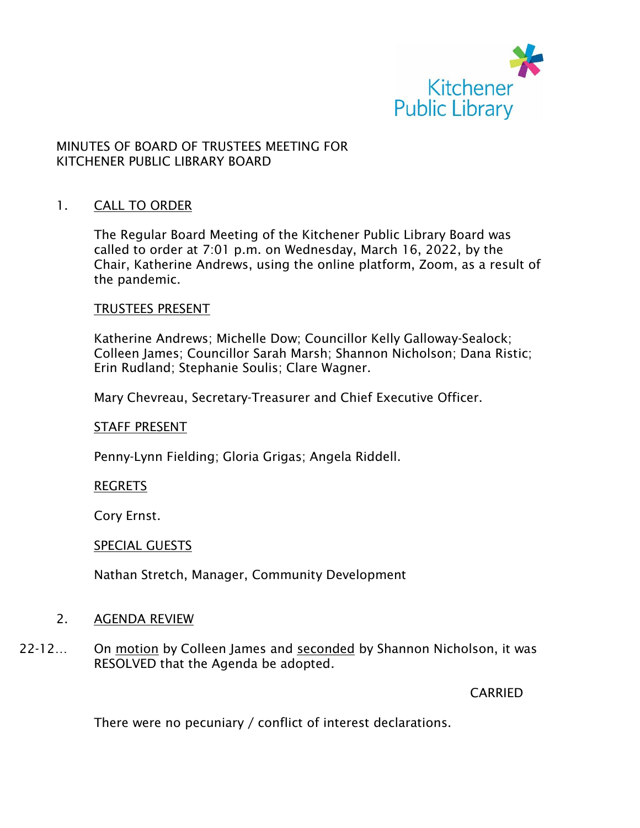

## MINUTES OF BOARD OF TRUSTEES MEETING FOR KITCHENER PUBLIC LIBRARY BOARD

### 1. CALL TO ORDER

The Regular Board Meeting of the Kitchener Public Library Board was called to order at 7:01 p.m. on Wednesday, March 16, 2022, by the Chair, Katherine Andrews, using the online platform, Zoom, as a result of the pandemic.

#### TRUSTEES PRESENT

Katherine Andrews; Michelle Dow; Councillor Kelly Galloway-Sealock; Colleen James; Councillor Sarah Marsh; Shannon Nicholson; Dana Ristic; Erin Rudland; Stephanie Soulis; Clare Wagner.

Mary Chevreau, Secretary-Treasurer and Chief Executive Officer.

#### STAFF PRESENT

Penny-Lynn Fielding; Gloria Grigas; Angela Riddell.

#### REGRETS

Cory Ernst.

#### SPECIAL GUESTS

Nathan Stretch, Manager, Community Development

### 2. AGENDA REVIEW

22-12… On motion by Colleen James and seconded by Shannon Nicholson, it was RESOLVED that the Agenda be adopted.

CARRIED

There were no pecuniary / conflict of interest declarations.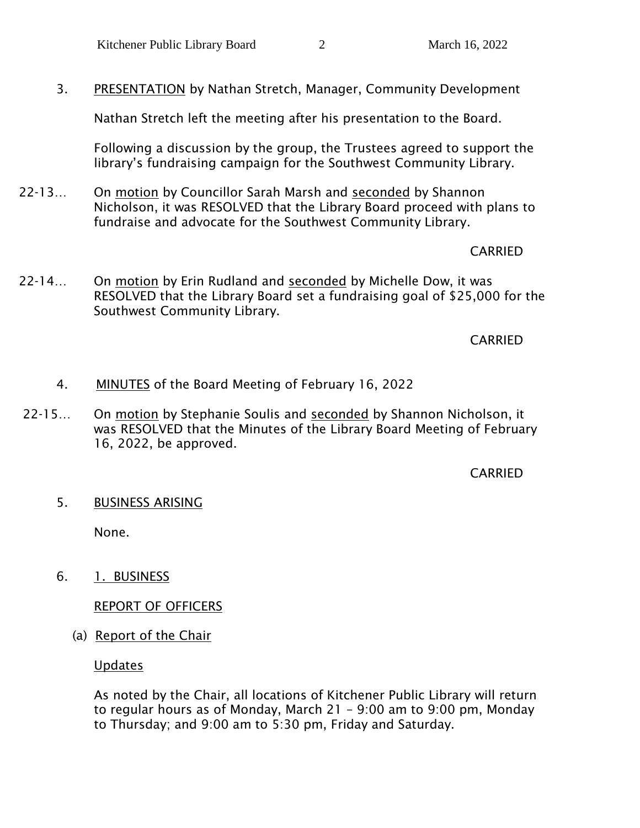3. PRESENTATION by Nathan Stretch, Manager, Community Development

Nathan Stretch left the meeting after his presentation to the Board.

Following a discussion by the group, the Trustees agreed to support the library's fundraising campaign for the Southwest Community Library.

22-13… On motion by Councillor Sarah Marsh and seconded by Shannon Nicholson, it was RESOLVED that the Library Board proceed with plans to fundraise and advocate for the Southwest Community Library.

## CARRIED

22-14… On motion by Erin Rudland and seconded by Michelle Dow, it was RESOLVED that the Library Board set a fundraising goal of \$25,000 for the Southwest Community Library.

CARRIED

- 4. MINUTES of the Board Meeting of February 16, 2022
- 22-15… On motion by Stephanie Soulis and seconded by Shannon Nicholson, it was RESOLVED that the Minutes of the Library Board Meeting of February 16, 2022, be approved.

## CARRIED

5. BUSINESS ARISING

None.

6. 1. BUSINESS

REPORT OF OFFICERS

(a) Report of the Chair

Updates

As noted by the Chair, all locations of Kitchener Public Library will return to regular hours as of Monday, March 21 – 9:00 am to 9:00 pm, Monday to Thursday; and 9:00 am to 5:30 pm, Friday and Saturday.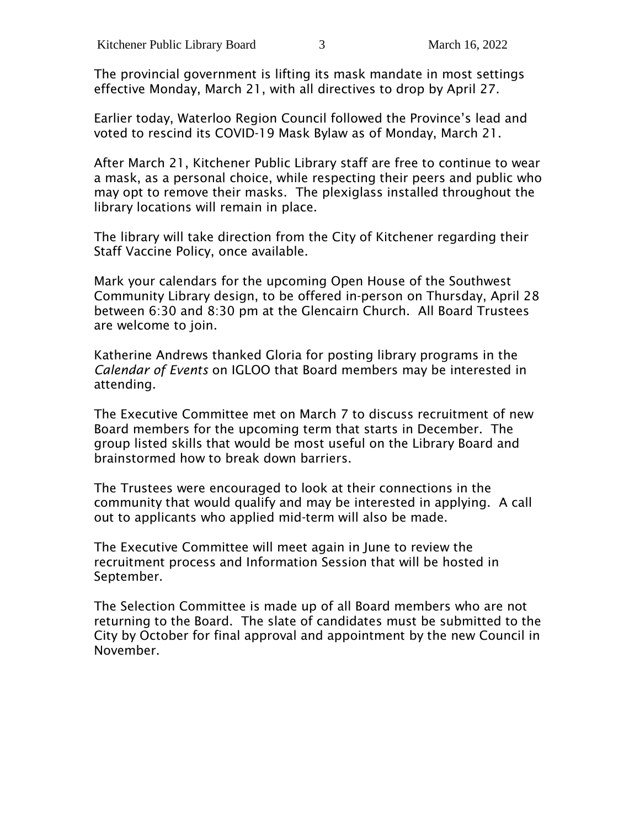The provincial government is lifting its mask mandate in most settings effective Monday, March 21, with all directives to drop by April 27.

Earlier today, Waterloo Region Council followed the Province's lead and voted to rescind its COVID-19 Mask Bylaw as of Monday, March 21.

After March 21, Kitchener Public Library staff are free to continue to wear a mask, as a personal choice, while respecting their peers and public who may opt to remove their masks. The plexiglass installed throughout the library locations will remain in place.

The library will take direction from the City of Kitchener regarding their Staff Vaccine Policy, once available.

Mark your calendars for the upcoming Open House of the Southwest Community Library design, to be offered in-person on Thursday, April 28 between 6:30 and 8:30 pm at the Glencairn Church. All Board Trustees are welcome to join.

Katherine Andrews thanked Gloria for posting library programs in the *Calendar of Events* on IGLOO that Board members may be interested in attending.

The Executive Committee met on March 7 to discuss recruitment of new Board members for the upcoming term that starts in December. The group listed skills that would be most useful on the Library Board and brainstormed how to break down barriers.

The Trustees were encouraged to look at their connections in the community that would qualify and may be interested in applying. A call out to applicants who applied mid-term will also be made.

The Executive Committee will meet again in June to review the recruitment process and Information Session that will be hosted in September.

The Selection Committee is made up of all Board members who are not returning to the Board. The slate of candidates must be submitted to the City by October for final approval and appointment by the new Council in November.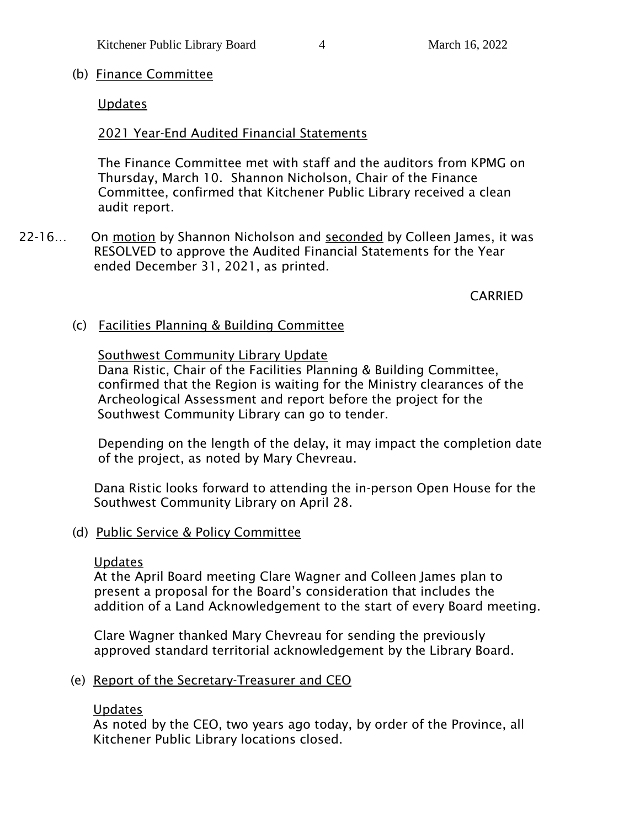## (b) Finance Committee

## Updates

## 2021 Year-End Audited Financial Statements

The Finance Committee met with staff and the auditors from KPMG on Thursday, March 10. Shannon Nicholson, Chair of the Finance Committee, confirmed that Kitchener Public Library received a clean audit report.

22-16… On motion by Shannon Nicholson and seconded by Colleen James, it was RESOLVED to approve the Audited Financial Statements for the Year ended December 31, 2021, as printed.

CARRIED

(c) Facilities Planning & Building Committee

### Southwest Community Library Update

Dana Ristic, Chair of the Facilities Planning & Building Committee, confirmed that the Region is waiting for the Ministry clearances of the Archeological Assessment and report before the project for the Southwest Community Library can go to tender.

Depending on the length of the delay, it may impact the completion date of the project, as noted by Mary Chevreau.

Dana Ristic looks forward to attending the in-person Open House for the Southwest Community Library on April 28.

### (d) Public Service & Policy Committee

### Updates

At the April Board meeting Clare Wagner and Colleen James plan to present a proposal for the Board's consideration that includes the addition of a Land Acknowledgement to the start of every Board meeting.

Clare Wagner thanked Mary Chevreau for sending the previously approved standard territorial acknowledgement by the Library Board.

### (e) Report of the Secretary-Treasurer and CEO

### Updates

As noted by the CEO, two years ago today, by order of the Province, all Kitchener Public Library locations closed.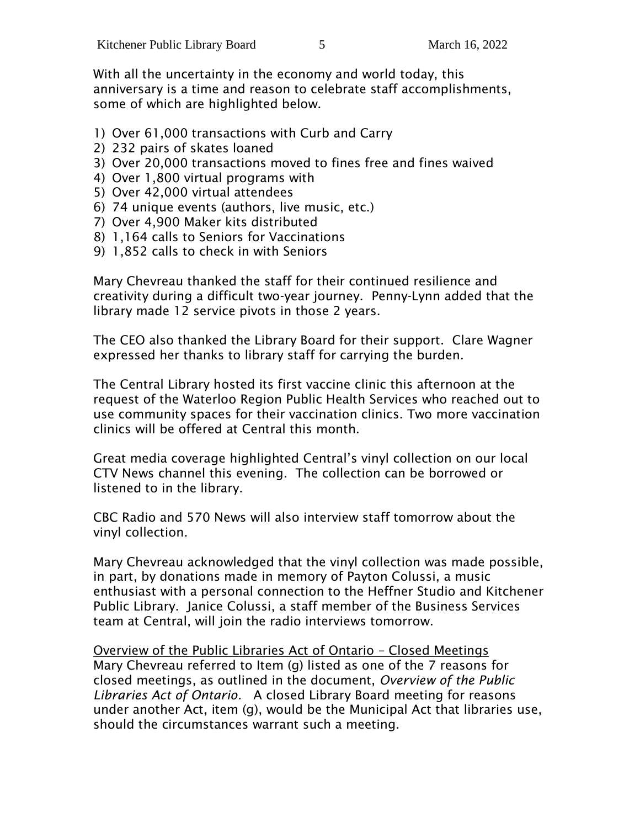With all the uncertainty in the economy and world today, this anniversary is a time and reason to celebrate staff accomplishments, some of which are highlighted below.

- 1) Over 61,000 transactions with Curb and Carry
- 2) 232 pairs of skates loaned
- 3) Over 20,000 transactions moved to fines free and fines waived
- 4) Over 1,800 virtual programs with
- 5) Over 42,000 virtual attendees
- 6) 74 unique events (authors, live music, etc.)
- 7) Over 4,900 Maker kits distributed
- 8) 1,164 calls to Seniors for Vaccinations
- 9) 1,852 calls to check in with Seniors

Mary Chevreau thanked the staff for their continued resilience and creativity during a difficult two-year journey. Penny-Lynn added that the library made 12 service pivots in those 2 years.

The CEO also thanked the Library Board for their support. Clare Wagner expressed her thanks to library staff for carrying the burden.

The Central Library hosted its first vaccine clinic this afternoon at the request of the Waterloo Region Public Health Services who reached out to use community spaces for their vaccination clinics. Two more vaccination clinics will be offered at Central this month.

Great media coverage highlighted Central's vinyl collection on our local CTV News channel this evening. The collection can be borrowed or listened to in the library.

CBC Radio and 570 News will also interview staff tomorrow about the vinyl collection.

Mary Chevreau acknowledged that the vinyl collection was made possible, in part, by donations made in memory of Payton Colussi, a music enthusiast with a personal connection to the Heffner Studio and Kitchener Public Library. Janice Colussi, a staff member of the Business Services team at Central, will join the radio interviews tomorrow.

Overview of the Public Libraries Act of Ontario – Closed Meetings Mary Chevreau referred to Item (g) listed as one of the 7 reasons for closed meetings, as outlined in the document, *Overview of the Public Libraries Act of Ontario.* A closed Library Board meeting for reasons under another Act, item (g), would be the Municipal Act that libraries use, should the circumstances warrant such a meeting.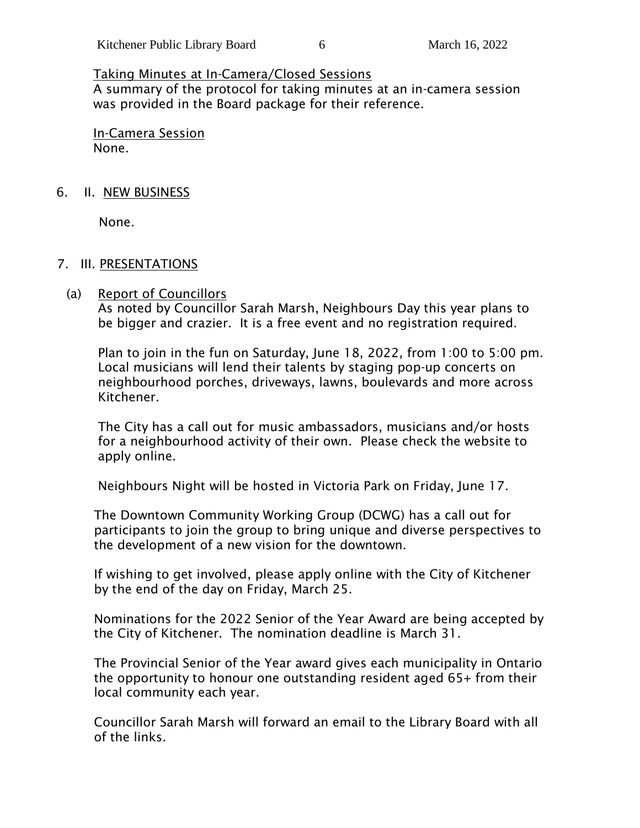### Taking Minutes at In-Camera/Closed Sessions

A summary of the protocol for taking minutes at an in-camera session was provided in the Board package for their reference.

In-Camera Session None.

#### 6. II. NEW BUSINESS

None.

#### 7. III. PRESENTATIONS

#### (a) Report of Councillors

As noted by Councillor Sarah Marsh, Neighbours Day this year plans to be bigger and crazier. It is a free event and no registration required.

Plan to join in the fun on Saturday, June 18, 2022, from 1:00 to 5:00 pm. Local musicians will lend their talents by staging pop-up concerts on neighbourhood porches, driveways, lawns, boulevards and more across Kitchener.

The City has a call out for music ambassadors, musicians and/or hosts for a neighbourhood activity of their own. Please check the website to apply online.

Neighbours Night will be hosted in Victoria Park on Friday, June 17.

The Downtown Community Working Group (DCWG) has a call out for participants to join the group to bring unique and diverse perspectives to the development of a new vision for the downtown.

If wishing to get involved, please apply online with the City of Kitchener by the end of the day on Friday, March 25.

Nominations for the 2022 Senior of the Year Award are being accepted by the City of Kitchener. The nomination deadline is March 31.

The Provincial Senior of the Year award gives each municipality in Ontario the opportunity to honour one outstanding resident aged 65+ from their local community each year.

Councillor Sarah Marsh will forward an email to the Library Board with all of the links.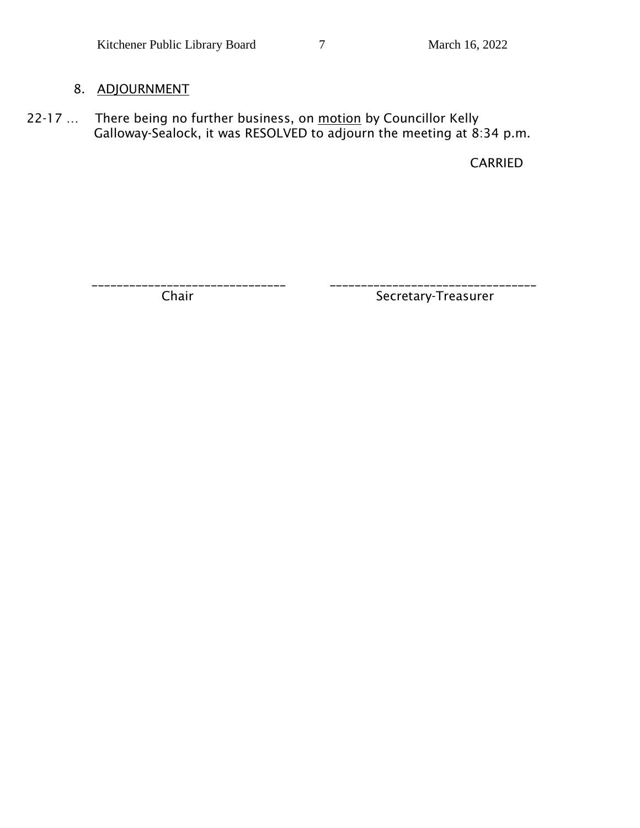# 8. ADJOURNMENT

22-17 ... There being no further business, on motion by Councillor Kelly Galloway-Sealock, it was RESOLVED to adjourn the meeting at 8:34 p.m.

CARRIED

\_\_\_\_\_\_\_\_\_\_\_\_\_\_\_\_\_\_\_\_\_\_\_\_\_\_\_\_\_\_\_ \_\_\_\_\_\_\_\_\_\_\_\_\_\_\_\_\_\_\_\_\_\_\_\_\_\_\_\_\_\_\_\_\_

Chair Secretary-Treasurer